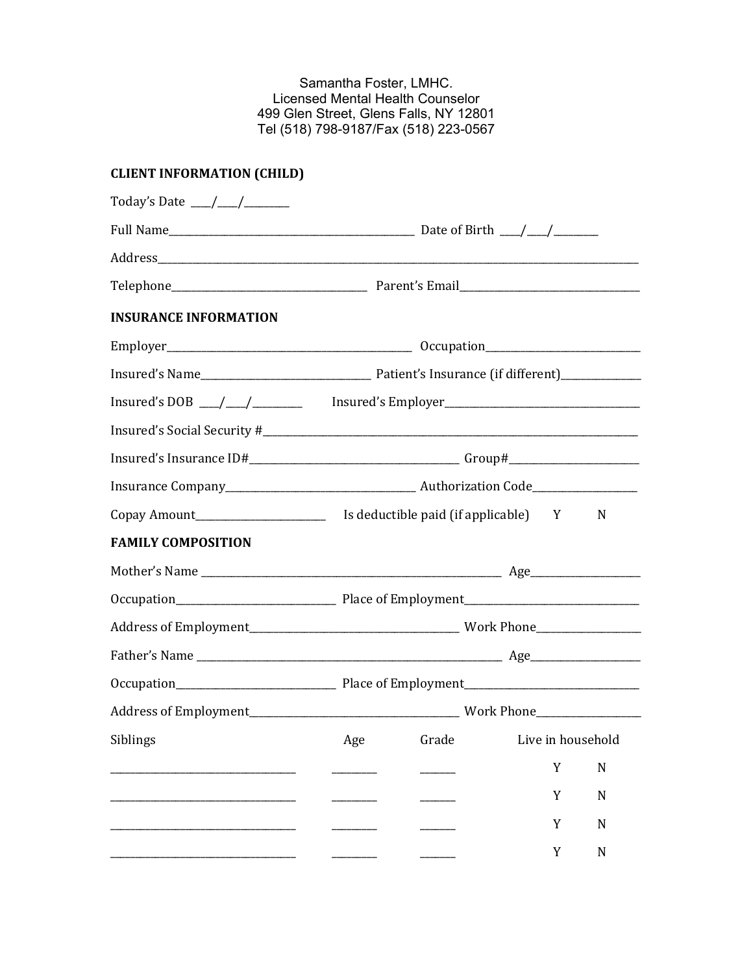Samantha Foster, LMHC. Licensed Mental Health Counselor 499 Glen Street, Glens Falls, NY 12801 Tel (518) 798-9187/Fax (518) 223-0567

# **CLIENT INFORMATION (CHILD)**

| <b>INSURANCE INFORMATION</b>                                       |                                                                                                 |   |             |  |
|--------------------------------------------------------------------|-------------------------------------------------------------------------------------------------|---|-------------|--|
|                                                                    |                                                                                                 |   |             |  |
|                                                                    |                                                                                                 |   |             |  |
|                                                                    | Insured's DOB $\_\_\_\_\_\_\_\_\_\_\_\_\_\_\$ Insured's Employer_______________________________ |   |             |  |
|                                                                    |                                                                                                 |   |             |  |
|                                                                    |                                                                                                 |   |             |  |
|                                                                    |                                                                                                 |   |             |  |
|                                                                    |                                                                                                 |   |             |  |
| <b>FAMILY COMPOSITION</b>                                          |                                                                                                 |   |             |  |
|                                                                    |                                                                                                 |   |             |  |
|                                                                    |                                                                                                 |   |             |  |
|                                                                    |                                                                                                 |   |             |  |
|                                                                    |                                                                                                 |   |             |  |
|                                                                    |                                                                                                 |   |             |  |
|                                                                    |                                                                                                 |   |             |  |
| Siblings and Siblings and Siblings and Age Crade Live in household |                                                                                                 |   |             |  |
|                                                                    |                                                                                                 | Y | $\mathbf N$ |  |
|                                                                    |                                                                                                 | Y | N           |  |
|                                                                    |                                                                                                 | Y | N           |  |
|                                                                    |                                                                                                 | Y | ${\bf N}$   |  |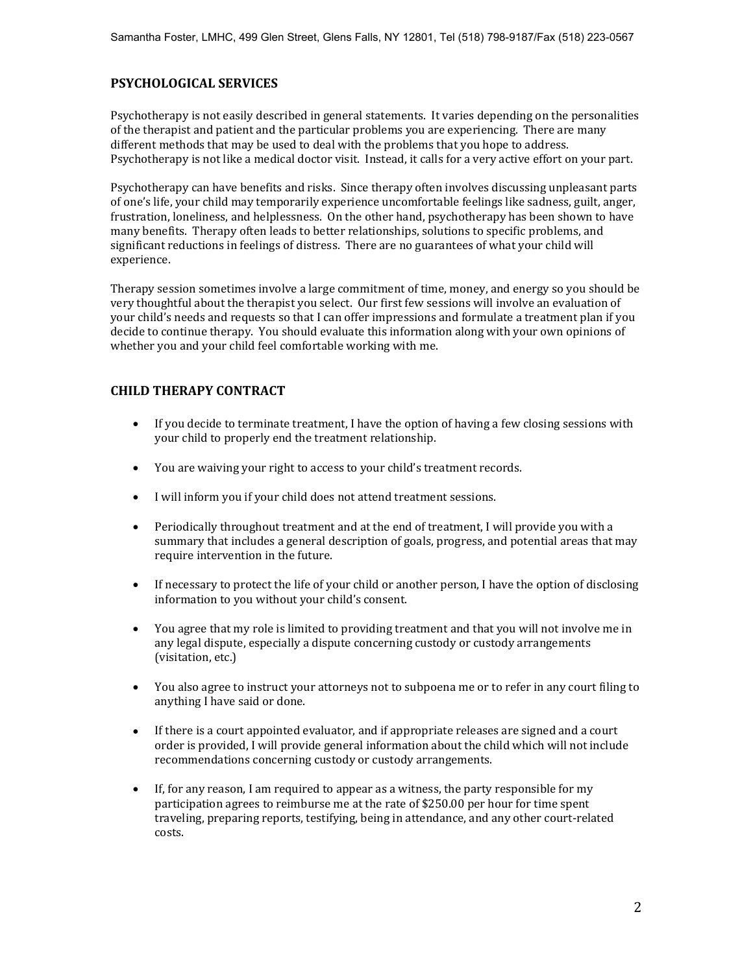### **PSYCHOLOGICAL SERVICES**

Psychotherapy is not easily described in general statements. It varies depending on the personalities of the therapist and patient and the particular problems you are experiencing. There are many different methods that may be used to deal with the problems that you hope to address. Psychotherapy is not like a medical doctor visit. Instead, it calls for a very active effort on your part.

Psychotherapy can have benefits and risks. Since therapy often involves discussing unpleasant parts of one's life, your child may temporarily experience uncomfortable feelings like sadness, guilt, anger, frustration, loneliness, and helplessness. On the other hand, psychotherapy has been shown to have many benefits. Therapy often leads to better relationships, solutions to specific problems, and significant reductions in feelings of distress. There are no guarantees of what your child will experience.

Therapy session sometimes involve a large commitment of time, money, and energy so you should be very thoughtful about the therapist you select. Our first few sessions will involve an evaluation of your child's needs and requests so that I can offer impressions and formulate a treatment plan if you decide to continue therapy. You should evaluate this information along with your own opinions of whether you and your child feel comfortable working with me.

### **CHILD THERAPY CONTRACT**

- If you decide to terminate treatment, I have the option of having a few closing sessions with your child to properly end the treatment relationship.
- You are waiving your right to access to your child's treatment records.
- I will inform you if your child does not attend treatment sessions.
- Periodically throughout treatment and at the end of treatment, I will provide you with a summary that includes a general description of goals, progress, and potential areas that may require intervention in the future.
- If necessary to protect the life of your child or another person, I have the option of disclosing information to you without your child's consent.
- You agree that my role is limited to providing treatment and that you will not involve me in any legal dispute, especially a dispute concerning custody or custody arrangements (visitation, etc.)
- You also agree to instruct your attorneys not to subpoena me or to refer in any court filing to anything I have said or done.
- If there is a court appointed evaluator, and if appropriate releases are signed and a court order is provided, I will provide general information about the child which will not include recommendations concerning custody or custody arrangements.
- $\bullet$  If, for any reason, I am required to appear as a witness, the party responsible for my participation agrees to reimburse me at the rate of \$250.00 per hour for time spent traveling, preparing reports, testifying, being in attendance, and any other court-related costs.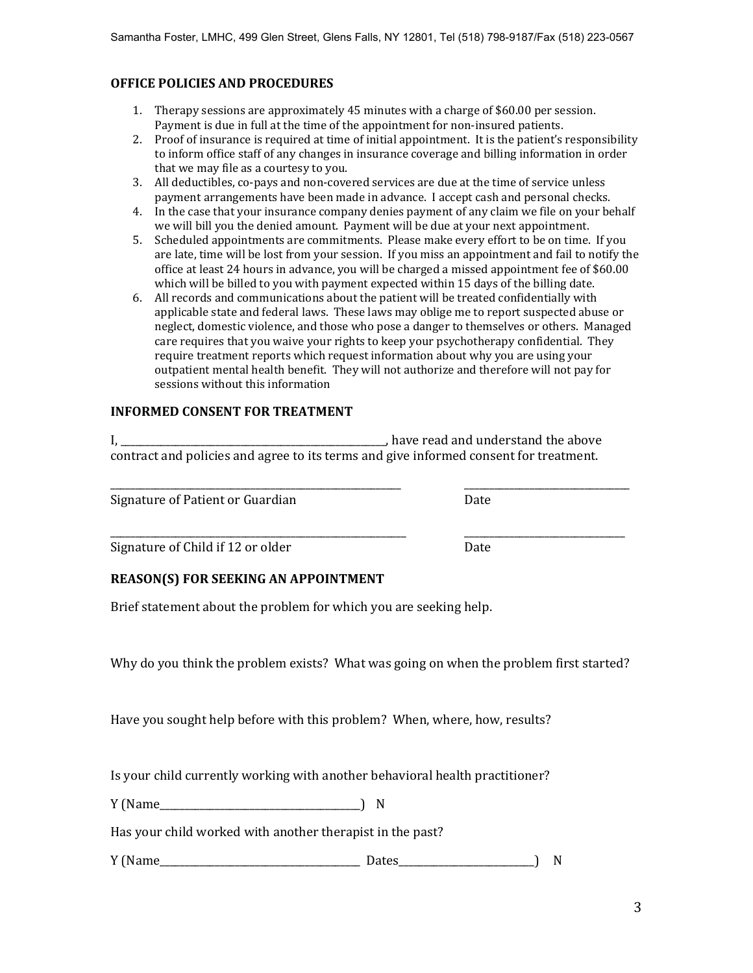### **OFFICE POLICIES AND PROCEDURES**

- 1. Therapy sessions are approximately 45 minutes with a charge of \$60.00 per session. Payment is due in full at the time of the appointment for non-insured patients.
- 2. Proof of insurance is required at time of initial appointment. It is the patient's responsibility to inform office staff of any changes in insurance coverage and billing information in order that we may file as a courtesy to you.
- 3. All deductibles, co-pays and non-covered services are due at the time of service unless payment arrangements have been made in advance. I accept cash and personal checks.
- 4. In the case that your insurance company denies payment of any claim we file on your behalf we will bill you the denied amount. Payment will be due at your next appointment.
- 5. Scheduled appointments are commitments. Please make every effort to be on time. If you are late, time will be lost from your session. If you miss an appointment and fail to notify the office at least 24 hours in advance, you will be charged a missed appointment fee of \$60.00 which will be billed to you with payment expected within 15 days of the billing date.
- 6. All records and communications about the patient will be treated confidentially with applicable state and federal laws. These laws may oblige me to report suspected abuse or neglect, domestic violence, and those who pose a danger to themselves or others. Managed care requires that you waive your rights to keep your psychotherapy confidential. They require treatment reports which request information about why you are using your outpatient mental health benefit. They will not authorize and therefore will not pay for sessions without this information

#### **INFORMED CONSENT FOR TREATMENT**

|                                                                                       | have read and understand the above |
|---------------------------------------------------------------------------------------|------------------------------------|
| contract and policies and agree to its terms and give informed consent for treatment. |                                    |

\_\_\_\_\_\_\_\_\_\_\_\_\_\_\_\_\_\_\_\_\_\_\_\_\_\_\_\_\_\_\_\_\_\_\_\_\_\_\_\_\_\_\_\_\_\_\_\_\_\_\_\_\_\_\_\_\_\_ \_\_\_\_\_\_\_\_\_\_\_\_\_\_\_\_\_\_\_\_\_\_\_\_\_\_\_\_\_\_\_\_\_

\_\_\_\_\_\_\_\_\_\_\_\_\_\_\_\_\_\_\_\_\_\_\_\_\_\_\_\_\_\_\_\_\_\_\_\_\_\_\_\_\_\_\_\_\_\_\_\_\_\_\_\_\_\_\_\_\_\_\_ \_\_\_\_\_\_\_\_\_\_\_\_\_\_\_\_\_\_\_\_\_\_\_\_\_\_\_\_\_\_\_\_

Signature of Patient or Guardian Date

Signature of Child if 12 or older Date

### **REASON(S) FOR SEEKING AN APPOINTMENT**

Brief statement about the problem for which you are seeking help.

Why do you think the problem exists? What was going on when the problem first started?

Have you sought help before with this problem? When, where, how, results?

Is your child currently working with another behavioral health practitioner?

Y (Name ) N

Has your child worked with another therapist in the past?

Y (Name\_\_\_\_\_\_\_\_\_\_\_\_\_\_\_\_\_\_\_\_\_\_\_\_\_\_\_\_\_\_\_\_\_\_\_\_\_\_\_\_ Dates\_\_\_\_\_\_\_\_\_\_\_\_\_\_\_\_\_\_\_\_\_\_\_\_\_\_\_) N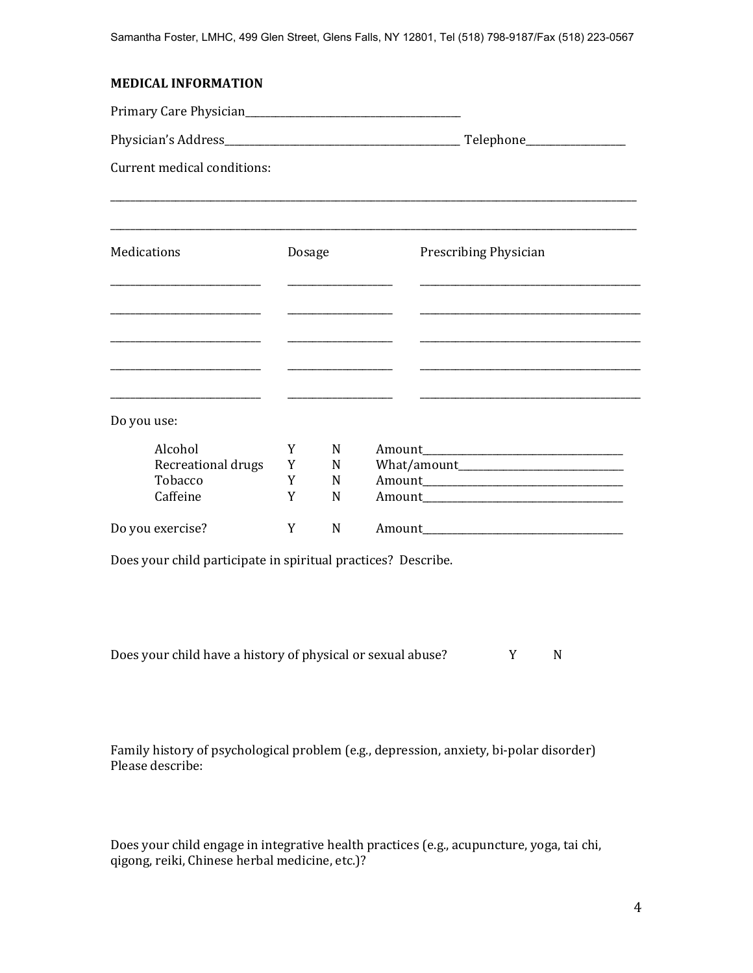#### **MEDICAL INFORMATION**

Primary Care Physician\_\_\_\_\_\_\_\_\_\_\_\_\_\_\_\_\_\_\_\_\_\_\_\_\_\_\_\_\_\_\_\_\_\_\_\_\_\_\_\_\_\_\_ Physician's Address\_\_\_\_\_\_\_\_\_\_\_\_\_\_\_\_\_\_\_\_\_\_\_\_\_\_\_\_\_\_\_\_\_\_\_\_\_\_\_\_\_\_\_\_\_\_\_ Telephone\_\_\_\_\_\_\_\_\_\_\_\_\_\_\_\_\_\_\_\_ Current medical conditions: \_\_\_\_\_\_\_\_\_\_\_\_\_\_\_\_\_\_\_\_\_\_\_\_\_\_\_\_\_\_\_\_\_\_\_\_\_\_\_\_\_\_\_\_\_\_\_\_\_\_\_\_\_\_\_\_\_\_\_\_\_\_\_\_\_\_\_\_\_\_\_\_\_\_\_\_\_\_\_\_\_\_\_\_\_\_\_\_\_\_\_\_\_\_\_\_\_\_\_\_\_\_\_\_\_ \_\_\_\_\_\_\_\_\_\_\_\_\_\_\_\_\_\_\_\_\_\_\_\_\_\_\_\_\_\_\_\_\_\_\_\_\_\_\_\_\_\_\_\_\_\_\_\_\_\_\_\_\_\_\_\_\_\_\_\_\_\_\_\_\_\_\_\_\_\_\_\_\_\_\_\_\_\_\_\_\_\_\_\_\_\_\_\_\_\_\_\_\_\_\_\_\_\_\_\_\_\_\_\_\_ Medications **Dosage** Prescribing Physician \_\_\_\_\_\_\_\_\_\_\_\_\_\_\_\_\_\_\_\_\_\_\_\_\_\_\_\_\_\_ \_\_\_\_\_\_\_\_\_\_\_\_\_\_\_\_\_\_\_\_\_ \_\_\_\_\_\_\_\_\_\_\_\_\_\_\_\_\_\_\_\_\_\_\_\_\_\_\_\_\_\_\_\_\_\_\_\_\_\_\_\_\_\_\_\_ \_\_\_\_\_\_\_\_\_\_\_\_\_\_\_\_\_\_\_\_\_\_\_\_\_\_\_\_\_\_ \_\_\_\_\_\_\_\_\_\_\_\_\_\_\_\_\_\_\_\_\_ \_\_\_\_\_\_\_\_\_\_\_\_\_\_\_\_\_\_\_\_\_\_\_\_\_\_\_\_\_\_\_\_\_\_\_\_\_\_\_\_\_\_\_\_ \_\_\_\_\_\_\_\_\_\_\_\_\_\_\_\_\_\_\_\_\_\_\_\_\_\_\_\_\_\_ \_\_\_\_\_\_\_\_\_\_\_\_\_\_\_\_\_\_\_\_\_ \_\_\_\_\_\_\_\_\_\_\_\_\_\_\_\_\_\_\_\_\_\_\_\_\_\_\_\_\_\_\_\_\_\_\_\_\_\_\_\_\_\_\_\_ \_\_\_\_\_\_\_\_\_\_\_\_\_\_\_\_\_\_\_\_\_\_\_\_\_\_\_\_\_\_ \_\_\_\_\_\_\_\_\_\_\_\_\_\_\_\_\_\_\_\_\_ \_\_\_\_\_\_\_\_\_\_\_\_\_\_\_\_\_\_\_\_\_\_\_\_\_\_\_\_\_\_\_\_\_\_\_\_\_\_\_\_\_\_\_\_ \_\_\_\_\_\_\_\_\_\_\_\_\_\_\_\_\_\_\_\_\_\_\_\_\_\_\_\_\_\_ \_\_\_\_\_\_\_\_\_\_\_\_\_\_\_\_\_\_\_\_\_ \_\_\_\_\_\_\_\_\_\_\_\_\_\_\_\_\_\_\_\_\_\_\_\_\_\_\_\_\_\_\_\_\_\_\_\_\_\_\_\_\_\_\_\_ Do you use: Alcohol Y N Amount\_\_\_\_\_\_\_\_\_\_\_\_\_\_\_\_\_\_\_\_\_\_\_\_\_\_\_\_\_\_\_\_\_\_\_\_\_\_\_\_ Recreational drugs Y N What/amount Tobacco Y N Amount\_\_\_\_\_\_\_\_\_\_\_\_\_\_\_\_\_\_\_\_\_\_\_\_\_\_\_\_\_\_\_\_\_\_\_\_\_\_\_\_ Caffeine Y N Amount Theorem I amount of the Manuscript of the Manuscript of the Manuscript of the Manuscript of  $Y$  M  $\alpha$  Amount  $\alpha$ Do you exercise? The Manual Manual Manual Manual Manual Manual Manual Manual Manual Manual Manual Manual Manua Does your child participate in spiritual practices? Describe.

Does your child have a history of physical or sexual abuse? Y N

Family history of psychological problem (e.g., depression, anxiety, bi-polar disorder) Please describe:

Does your child engage in integrative health practices (e.g., acupuncture, yoga, tai chi, qigong, reiki, Chinese herbal medicine, etc.)?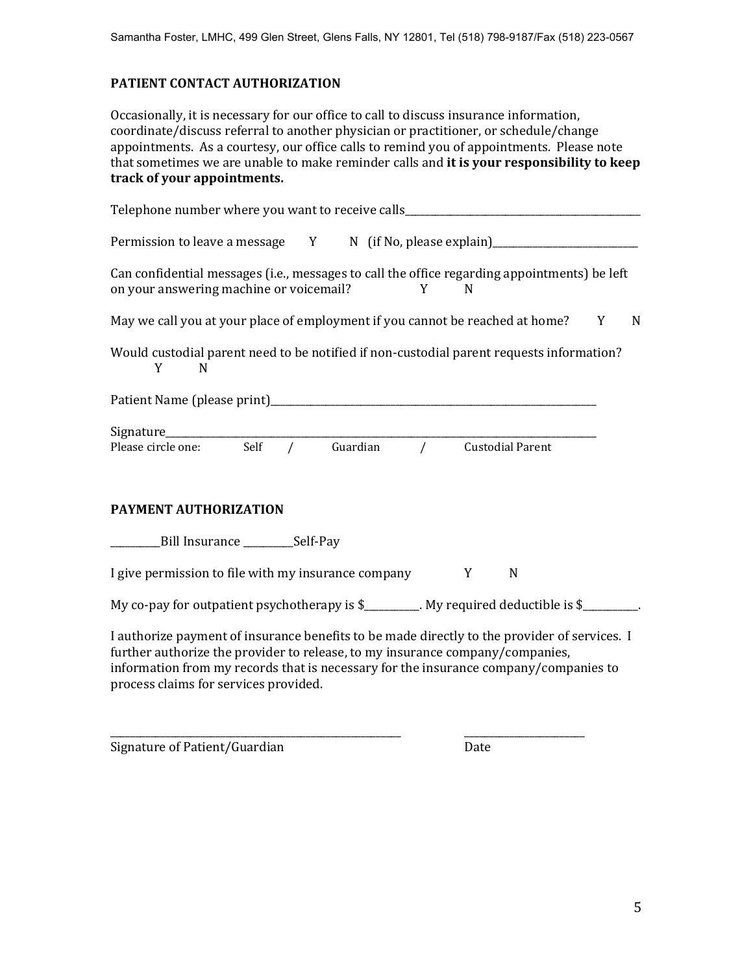### **PATIENT CONTACT AUTHORIZATION**

Occasionally, it is necessary for our office to call to discuss insurance information, coordinate/discuss referral to another physician or practitioner, or schedule/change appointments. As a courtesy, our office calls to remind you of appointments. Please note that sometimes we are unable to make reminder calls and **it is your responsibility to keep track of your appointments.** 

| Telephone number where you want to receive calls________________________________                                                                                                                                                                                                                               |
|----------------------------------------------------------------------------------------------------------------------------------------------------------------------------------------------------------------------------------------------------------------------------------------------------------------|
| Permission to leave a message Y N (if No, please explain)_______________________                                                                                                                                                                                                                               |
| Can confidential messages (i.e., messages to call the office regarding appointments) be left<br>on your answering machine or voicemail?<br>Y N                                                                                                                                                                 |
| May we call you at your place of employment if you cannot be reached at home? Y N                                                                                                                                                                                                                              |
| Would custodial parent need to be notified if non-custodial parent requests information?<br>Y<br>N                                                                                                                                                                                                             |
|                                                                                                                                                                                                                                                                                                                |
| Signature<br>Please circle one: Self / Guardian / Custodial Parent                                                                                                                                                                                                                                             |
| PAYMENT AUTHORIZATION                                                                                                                                                                                                                                                                                          |
| _______________Bill Insurance ______________Self-Pay                                                                                                                                                                                                                                                           |
| I give permission to file with my insurance company<br>Y<br>N                                                                                                                                                                                                                                                  |
| My co-pay for outpatient psychotherapy is \$________. My required deductible is \$_______.                                                                                                                                                                                                                     |
| I authorize payment of insurance benefits to be made directly to the provider of services. I<br>further authorize the provider to release, to my insurance company/companies,<br>information from my records that is necessary for the insurance company/companies to<br>process claims for services provided. |

\_\_\_\_\_\_\_\_\_\_\_\_\_\_\_\_\_\_\_\_\_\_\_\_\_\_\_\_\_\_\_\_\_\_\_\_\_\_\_\_\_\_\_\_\_\_\_\_\_\_\_\_\_\_\_\_\_\_ \_\_\_\_\_\_\_\_\_\_\_\_\_\_\_\_\_\_\_\_\_\_\_\_

Signature of Patient/Guardian Date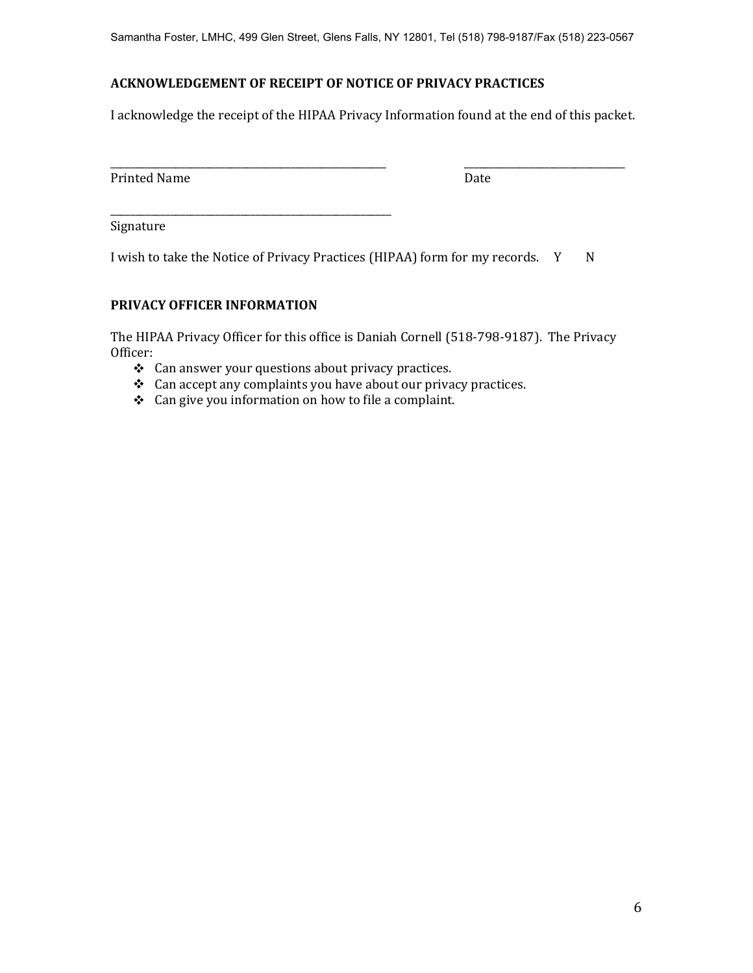Samantha Foster, LMHC, 499 Glen Street, Glens Falls, NY 12801, Tel (518) 798-9187/Fax (518) 223-0567

# **ACKNOWLEDGEMENT OF RECEIPT OF NOTICE OF PRIVACY PRACTICES**

I acknowledge the receipt of the HIPAA Privacy Information found at the end of this packet.

| _                           |     |
|-----------------------------|-----|
| Printed<br>ב עו<br>1111.COM | புப |

Signature

I wish to take the Notice of Privacy Practices (HIPAA) form for my records. Y N

# **PRIVACY OFFICER INFORMATION**

\_\_\_\_\_\_\_\_\_\_\_\_\_\_\_\_\_\_\_\_\_\_\_\_\_\_\_\_\_\_\_\_\_\_\_\_\_\_\_\_\_\_\_\_\_\_\_\_\_\_\_\_\_\_\_\_

The HIPAA Privacy Officer for this office is Daniah Cornell (518-798-9187). The Privacy Officer:

- \* Can answer your questions about privacy practices.
- Can accept any complaints you have about our privacy practices.
- Can give you information on how to file a complaint.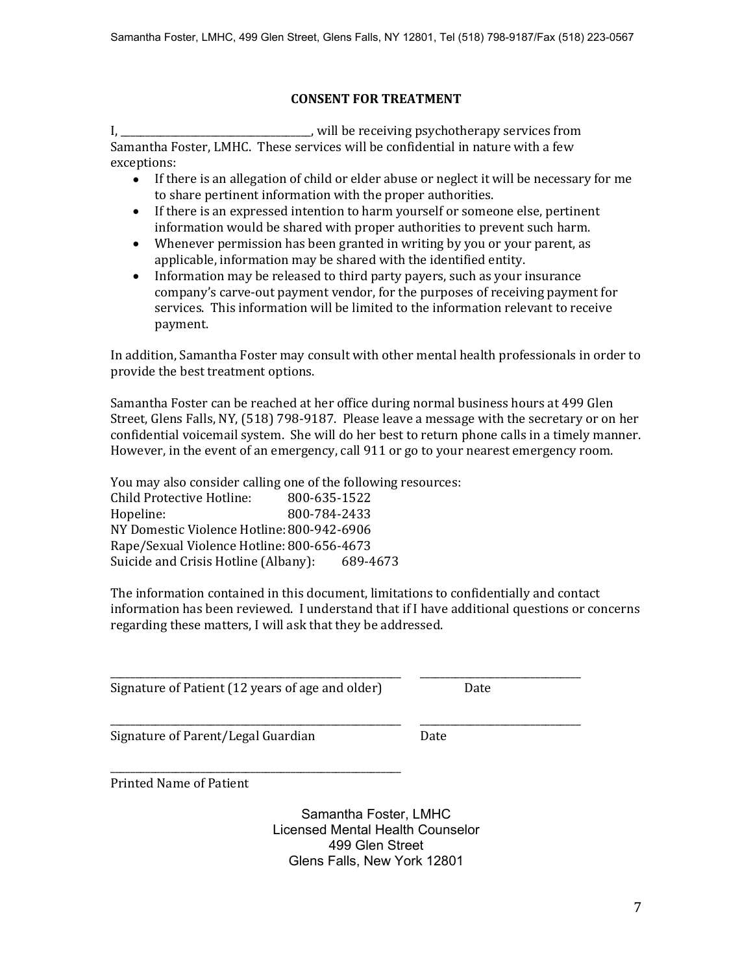# **CONSENT FOR TREATMENT**

I, \_\_\_\_\_\_\_\_\_\_\_\_\_\_\_\_\_\_\_\_\_\_\_\_\_\_\_\_\_\_\_\_, will be receiving psychotherapy services from Samantha Foster, LMHC. These services will be confidential in nature with a few exceptions:

- If there is an allegation of child or elder abuse or neglect it will be necessary for me to share pertinent information with the proper authorities.
- If there is an expressed intention to harm yourself or someone else, pertinent information would be shared with proper authorities to prevent such harm.
- Whenever permission has been granted in writing by you or your parent, as applicable, information may be shared with the identified entity.
- Information may be released to third party payers, such as your insurance company's carve-out payment vendor, for the purposes of receiving payment for services. This information will be limited to the information relevant to receive payment.

In addition, Samantha Foster may consult with other mental health professionals in order to provide the best treatment options.

Samantha Foster can be reached at her office during normal business hours at 499 Glen Street, Glens Falls, NY, (518) 798-9187. Please leave a message with the secretary or on her confidential voicemail system. She will do her best to return phone calls in a timely manner. However, in the event of an emergency, call 911 or go to your nearest emergency room.

You may also consider calling one of the following resources: Child Protective Hotline: 800-635-1522 Hopeline: 800-784-2433 NY Domestic Violence Hotline:800-942-6906 Rape/Sexual Violence Hotline: 800-656-4673 Suicide and Crisis Hotline (Albany): 689-4673

The information contained in this document, limitations to confidentially and contact information has been reviewed. I understand that if I have additional questions or concerns regarding these matters, I will ask that they be addressed.

\_\_\_\_\_\_\_\_\_\_\_\_\_\_\_\_\_\_\_\_\_\_\_\_\_\_\_\_\_\_\_\_\_\_\_\_\_\_\_\_\_\_\_\_\_\_\_\_\_\_\_\_\_\_\_\_\_\_ \_\_\_\_\_\_\_\_\_\_\_\_\_\_\_\_\_\_\_\_\_\_\_\_\_\_\_\_\_\_\_\_

Signature of Patient (12 years of age and older) Date

Signature of Parent/Legal Guardian Date

\_\_\_\_\_\_\_\_\_\_\_\_\_\_\_\_\_\_\_\_\_\_\_\_\_\_\_\_\_\_\_\_\_\_\_\_\_\_\_\_\_\_\_\_\_\_\_\_\_\_\_\_\_\_\_\_\_\_ \_\_\_\_\_\_\_\_\_\_\_\_\_\_\_\_\_\_\_\_\_\_\_\_\_\_\_\_\_\_\_\_

\_\_\_\_\_\_\_\_\_\_\_\_\_\_\_\_\_\_\_\_\_\_\_\_\_\_\_\_\_\_\_\_\_\_\_\_\_\_\_\_\_\_\_\_\_\_\_\_\_\_\_\_\_\_\_\_\_\_ Printed Name of Patient

> Samantha Foster, LMHC Licensed Mental Health Counselor 499 Glen Street Glens Falls, New York 12801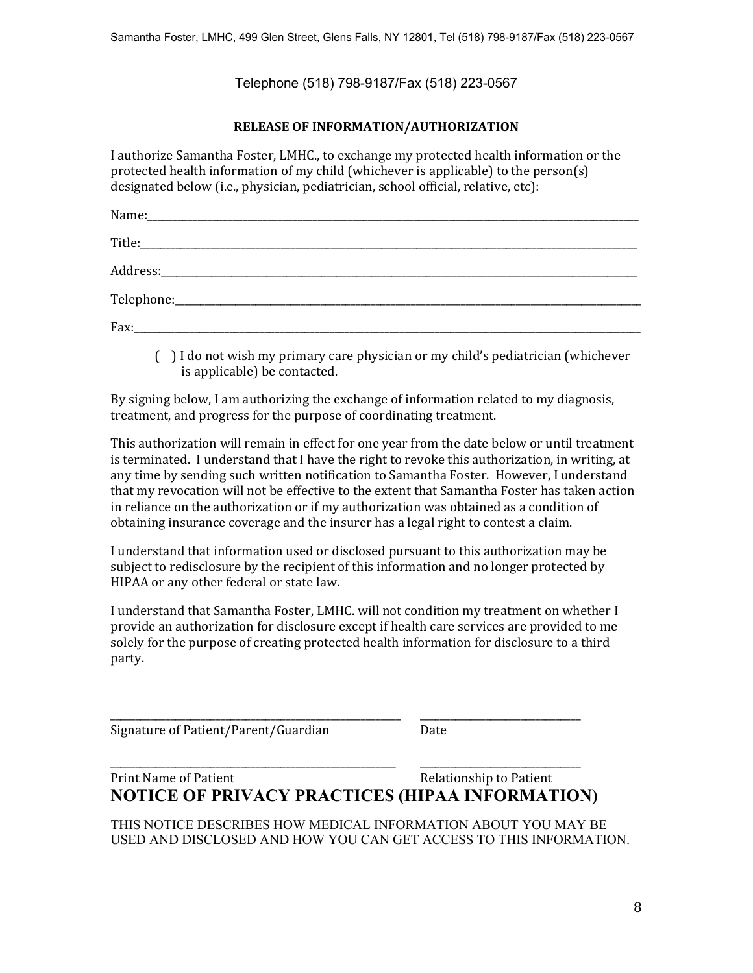Telephone (518) 798-9187/Fax (518) 223-0567

## **RELEASE OF INFORMATION/AUTHORIZATION**

I authorize Samantha Foster, LMHC., to exchange my protected health information or the protected health information of my child (whichever is applicable) to the person(s) designated below (i.e., physician, pediatrician, school official, relative, etc):

| Fax: |  |
|------|--|

( ) I do not wish my primary care physician or my child's pediatrician (whichever is applicable) be contacted.

By signing below, I am authorizing the exchange of information related to my diagnosis, treatment, and progress for the purpose of coordinating treatment.

This authorization will remain in effect for one year from the date below or until treatment is terminated. I understand that I have the right to revoke this authorization, in writing, at any time by sending such written notification to Samantha Foster. However, I understand that my revocation will not be effective to the extent that Samantha Foster has taken action in reliance on the authorization or if my authorization was obtained as a condition of obtaining insurance coverage and the insurer has a legal right to contest a claim.

I understand that information used or disclosed pursuant to this authorization may be subject to redisclosure by the recipient of this information and no longer protected by HIPAA or any other federal or state law.

I understand that Samantha Foster, LMHC. will not condition my treatment on whether I provide an authorization for disclosure except if health care services are provided to me solely for the purpose of creating protected health information for disclosure to a third party.

Signature of Patient/Parent/Guardian Date

# Print Name of Patient **Relationship to Patient NOTICE OF PRIVACY PRACTICES (HIPAA INFORMATION)**

\_\_\_\_\_\_\_\_\_\_\_\_\_\_\_\_\_\_\_\_\_\_\_\_\_\_\_\_\_\_\_\_\_\_\_\_\_\_\_\_\_\_\_\_\_\_\_\_\_\_\_\_\_\_\_\_\_\_ \_\_\_\_\_\_\_\_\_\_\_\_\_\_\_\_\_\_\_\_\_\_\_\_\_\_\_\_\_\_\_\_

\_\_\_\_\_\_\_\_\_\_\_\_\_\_\_\_\_\_\_\_\_\_\_\_\_\_\_\_\_\_\_\_\_\_\_\_\_\_\_\_\_\_\_\_\_\_\_\_\_\_\_\_\_\_\_\_\_ \_\_\_\_\_\_\_\_\_\_\_\_\_\_\_\_\_\_\_\_\_\_\_\_\_\_\_\_\_\_\_\_

THIS NOTICE DESCRIBES HOW MEDICAL INFORMATION ABOUT YOU MAY BE USED AND DISCLOSED AND HOW YOU CAN GET ACCESS TO THIS INFORMATION.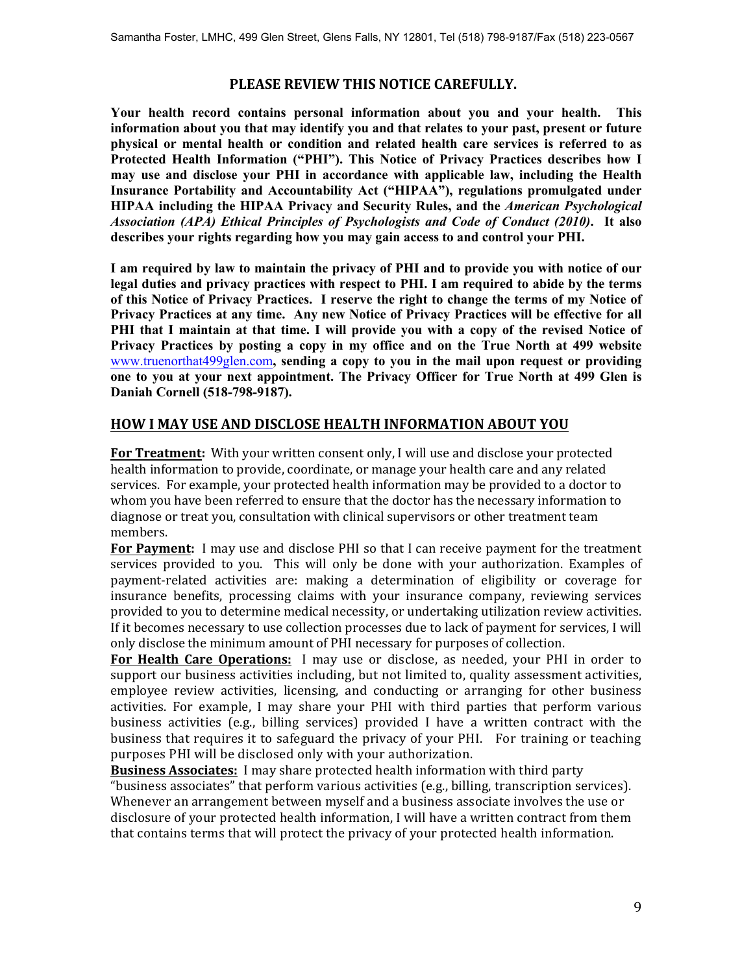## **PLEASE REVIEW THIS NOTICE CAREFULLY.**

**Your health record contains personal information about you and your health. This information about you that may identify you and that relates to your past, present or future physical or mental health or condition and related health care services is referred to as Protected Health Information ("PHI"). This Notice of Privacy Practices describes how I may use and disclose your PHI in accordance with applicable law, including the Health Insurance Portability and Accountability Act ("HIPAA"), regulations promulgated under HIPAA including the HIPAA Privacy and Security Rules, and the** *American Psychological Association (APA) Ethical Principles of Psychologists and Code of Conduct (2010)***. It also describes your rights regarding how you may gain access to and control your PHI.** 

**I am required by law to maintain the privacy of PHI and to provide you with notice of our legal duties and privacy practices with respect to PHI. I am required to abide by the terms of this Notice of Privacy Practices. I reserve the right to change the terms of my Notice of Privacy Practices at any time. Any new Notice of Privacy Practices will be effective for all PHI that I maintain at that time. I will provide you with a copy of the revised Notice of Privacy Practices by posting a copy in my office and on the True North at 499 website**  [www.truenorthat499glen.com](http://www.truenorthat499glen.com)**, sending a copy to you in the mail upon request or providing one to you at your next appointment. The Privacy Officer for True North at 499 Glen is Daniah Cornell (518-798-9187).** 

## **HOW I MAY USE AND DISCLOSE HEALTH INFORMATION ABOUT YOU**

**For Treatment:** With your written consent only, I will use and disclose your protected health information to provide, coordinate, or manage your health care and any related services. For example, your protected health information may be provided to a doctor to whom you have been referred to ensure that the doctor has the necessary information to diagnose or treat you, consultation with clinical supervisors or other treatment team members.

**For Payment:** I may use and disclose PHI so that I can receive payment for the treatment services provided to you. This will only be done with your authorization. Examples of payment-related activities are: making a determination of eligibility or coverage for insurance benefits, processing claims with your insurance company, reviewing services provided to you to determine medical necessity, or undertaking utilization review activities. If it becomes necessary to use collection processes due to lack of payment for services, I will only disclose the minimum amount of PHI necessary for purposes of collection.

**For Health Care Operations:** I may use or disclose, as needed, your PHI in order to support our business activities including, but not limited to, quality assessment activities, employee review activities, licensing, and conducting or arranging for other business activities. For example, I may share your PHI with third parties that perform various business activities (e.g., billing services) provided I have a written contract with the business that requires it to safeguard the privacy of your PHI. For training or teaching purposes PHI will be disclosed only with your authorization.

**Business Associates:** I may share protected health information with third party "business associates" that perform various activities (e.g., billing, transcription services). Whenever an arrangement between myself and a business associate involves the use or disclosure of your protected health information, I will have a written contract from them that contains terms that will protect the privacy of your protected health information.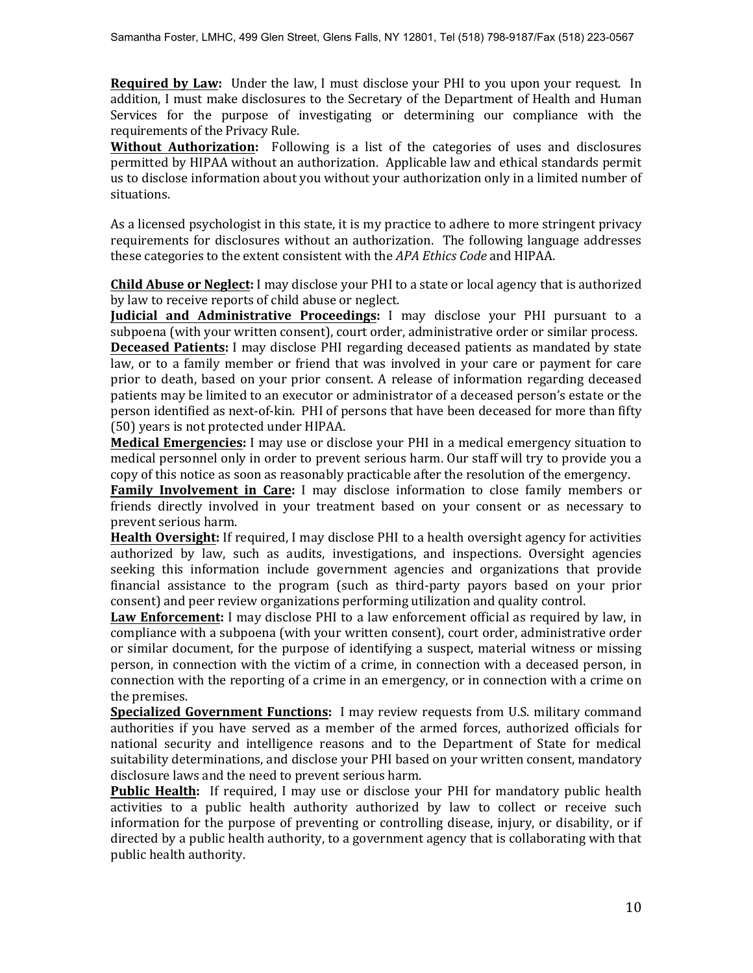**Required by Law:** Under the law, I must disclose your PHI to you upon your request. In addition, I must make disclosures to the Secretary of the Department of Health and Human Services for the purpose of investigating or determining our compliance with the requirements of the Privacy Rule.

**Without Authorization:** Following is a list of the categories of uses and disclosures permitted by HIPAA without an authorization. Applicable law and ethical standards permit us to disclose information about you without your authorization only in a limited number of situations.

As a licensed psychologist in this state, it is my practice to adhere to more stringent privacy requirements for disclosures without an authorization. The following language addresses these categories to the extent consistent with the *APA Ethics Code* and HIPAA.

**Child Abuse or Neglect:** I may disclose your PHI to a state or local agency that is authorized by law to receive reports of child abuse or neglect.

**Judicial and Administrative Proceedings:** I may disclose your PHI pursuant to a subpoena (with your written consent), court order, administrative order or similar process. **Deceased Patients:** I may disclose PHI regarding deceased patients as mandated by state law, or to a family member or friend that was involved in your care or payment for care prior to death, based on your prior consent. A release of information regarding deceased patients may be limited to an executor or administrator of a deceased person's estate or the person identified as next-of-kin. PHI of persons that have been deceased for more than fifty (50) years is not protected under HIPAA.

**Medical Emergencies:** I may use or disclose your PHI in a medical emergency situation to medical personnel only in order to prevent serious harm. Our staff will try to provide you a copy of this notice as soon as reasonably practicable after the resolution of the emergency.

**Family Involvement in Care:** I may disclose information to close family members or friends directly involved in your treatment based on your consent or as necessary to prevent serious harm.

**Health Oversight:** If required, I may disclose PHI to a health oversight agency for activities authorized by law, such as audits, investigations, and inspections. Oversight agencies seeking this information include government agencies and organizations that provide financial assistance to the program (such as third-party payors based on your prior consent) and peer review organizations performing utilization and quality control.

**Law Enforcement:** I may disclose PHI to a law enforcement official as required by law, in compliance with a subpoena (with your written consent), court order, administrative order or similar document, for the purpose of identifying a suspect, material witness or missing person, in connection with the victim of a crime, in connection with a deceased person, in connection with the reporting of a crime in an emergency, or in connection with a crime on the premises.

**Specialized Government Functions:** I may review requests from U.S. military command authorities if you have served as a member of the armed forces, authorized officials for national security and intelligence reasons and to the Department of State for medical suitability determinations, and disclose your PHI based on your written consent, mandatory disclosure laws and the need to prevent serious harm.

**Public Health:** If required, I may use or disclose your PHI for mandatory public health activities to a public health authority authorized by law to collect or receive such information for the purpose of preventing or controlling disease, injury, or disability, or if directed by a public health authority, to a government agency that is collaborating with that public health authority.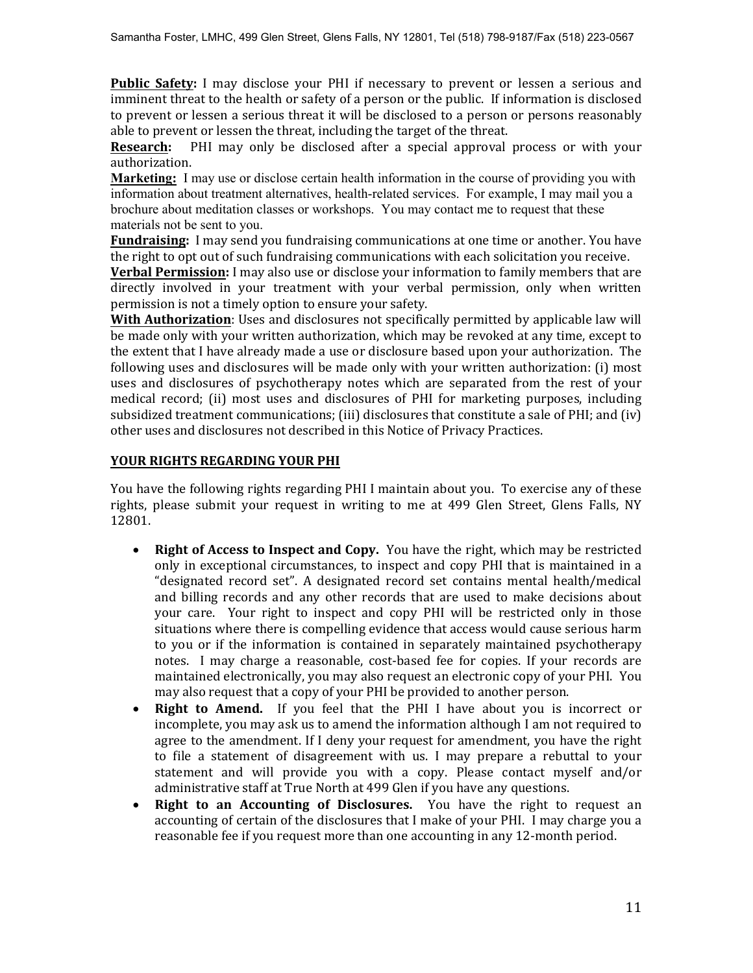**Public Safety:** I may disclose your PHI if necessary to prevent or lessen a serious and imminent threat to the health or safety of a person or the public. If information is disclosed to prevent or lessen a serious threat it will be disclosed to a person or persons reasonably able to prevent or lessen the threat, including the target of the threat.

**Research:** PHI may only be disclosed after a special approval process or with your authorization.

**Marketing:** I may use or disclose certain health information in the course of providing you with information about treatment alternatives, health-related services. For example, I may mail you a brochure about meditation classes or workshops. You may contact me to request that these materials not be sent to you.

**Fundraising:** I may send you fundraising communications at one time or another. You have the right to opt out of such fundraising communications with each solicitation you receive.

**Verbal Permission:** I may also use or disclose your information to family members that are directly involved in your treatment with your verbal permission, only when written permission is not a timely option to ensure your safety.

**With Authorization**: Uses and disclosures not specifically permitted by applicable law will be made only with your written authorization, which may be revoked at any time, except to the extent that I have already made a use or disclosure based upon your authorization. The following uses and disclosures will be made only with your written authorization: (i) most uses and disclosures of psychotherapy notes which are separated from the rest of your medical record; (ii) most uses and disclosures of PHI for marketing purposes, including subsidized treatment communications; (iii) disclosures that constitute a sale of PHI; and (iv) other uses and disclosures not described in this Notice of Privacy Practices.

### **YOUR RIGHTS REGARDING YOUR PHI**

You have the following rights regarding PHI I maintain about you. To exercise any of these rights, please submit your request in writing to me at 499 Glen Street, Glens Falls, NY 12801.

- **Right of Access to Inspect and Copy.** You have the right, which may be restricted only in exceptional circumstances, to inspect and copy PHI that is maintained in a "designated record set". A designated record set contains mental health/medical and billing records and any other records that are used to make decisions about your care. Your right to inspect and copy PHI will be restricted only in those situations where there is compelling evidence that access would cause serious harm to you or if the information is contained in separately maintained psychotherapy notes. I may charge a reasonable, cost-based fee for copies. If your records are maintained electronically, you may also request an electronic copy of your PHI. You may also request that a copy of your PHI be provided to another person.
- x **Right to Amend.** If you feel that the PHI I have about you is incorrect or incomplete, you may ask us to amend the information although I am not required to agree to the amendment. If I deny your request for amendment, you have the right to file a statement of disagreement with us. I may prepare a rebuttal to your statement and will provide you with a copy. Please contact myself and/or administrative staff at True North at 499 Glen if you have any questions.
- Right to an Accounting of Disclosures. You have the right to request an accounting of certain of the disclosures that I make of your PHI. I may charge you a reasonable fee if you request more than one accounting in any 12-month period.